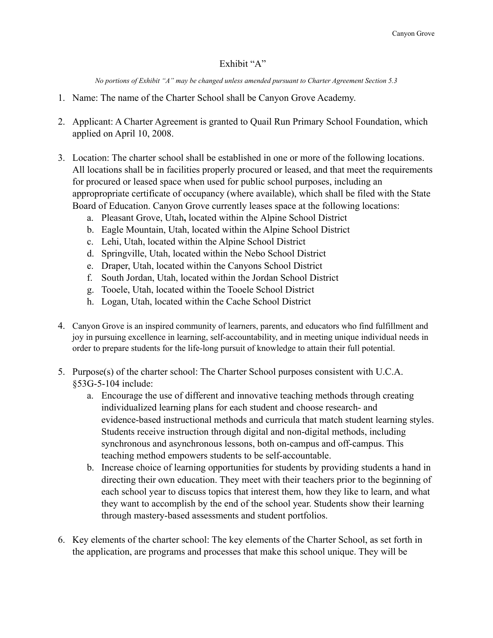## Exhibit "A"

*No portions of Exhibit "A" may be changed unless amended pursuant to Charter Agreement Section 5.3*

- 1. Name: The name of the Charter School shall be Canyon Grove Academy.
- 2. Applicant: A Charter Agreement is granted to Quail Run Primary School Foundation, which applied on April 10, 2008.
- 3. Location: The charter school shall be established in one or more of the following locations. All locations shall be in facilities properly procured or leased, and that meet the requirements for procured or leased space when used for public school purposes, including an appropropriate certificate of occupancy (where available), which shall be filed with the State Board of Education. Canyon Grove currently leases space at the following locations:
	- a. Pleasant Grove, Utah**,** located within the Alpine School District
	- b. Eagle Mountain, Utah, located within the Alpine School District
	- c. Lehi, Utah, located within the Alpine School District
	- d. Springville, Utah, located within the Nebo School District
	- e. Draper, Utah, located within the Canyons School District
	- f. South Jordan, Utah, located within the Jordan School District
	- g. Tooele, Utah, located within the Tooele School District
	- h. Logan, Utah, located within the Cache School District
- 4. Canyon Grove is an inspired community of learners, parents, and educators who find fulfillment and joy in pursuing excellence in learning, self-accountability, and in meeting unique individual needs in order to prepare students for the life-long pursuit of knowledge to attain their full potential.
- 5. Purpose(s) of the charter school: The Charter School purposes consistent with U.C.A. §53G-5-104 include:
	- a. Encourage the use of different and innovative teaching methods through creating individualized learning plans for each student and choose research- and evidence-based instructional methods and curricula that match student learning styles. Students receive instruction through digital and non-digital methods, including synchronous and asynchronous lessons, both on-campus and off-campus. This teaching method empowers students to be self-accountable.
	- b. Increase choice of learning opportunities for students by providing students a hand in directing their own education. They meet with their teachers prior to the beginning of each school year to discuss topics that interest them, how they like to learn, and what they want to accomplish by the end of the school year. Students show their learning through mastery-based assessments and student portfolios.
- 6. Key elements of the charter school: The key elements of the Charter School, as set forth in the application, are programs and processes that make this school unique. They will be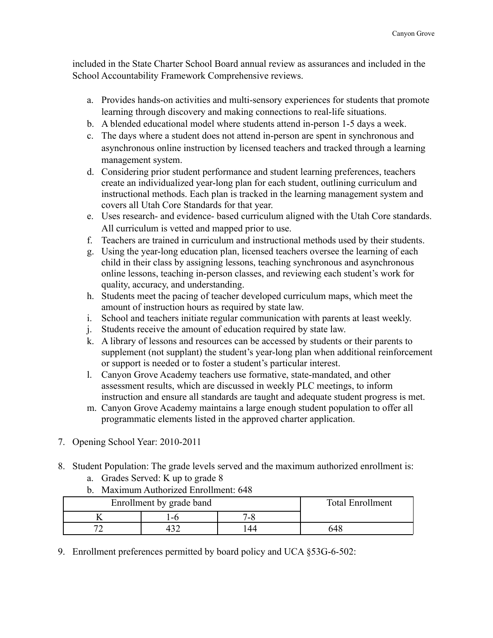included in the State Charter School Board annual review as assurances and included in the School Accountability Framework Comprehensive reviews.

- a. Provides hands-on activities and multi-sensory experiences for students that promote learning through discovery and making connections to real-life situations.
- b. A blended educational model where students attend in-person 1-5 days a week.
- c. The days where a student does not attend in-person are spent in synchronous and asynchronous online instruction by licensed teachers and tracked through a learning management system.
- d. Considering prior student performance and student learning preferences, teachers create an individualized year-long plan for each student, outlining curriculum and instructional methods. Each plan is tracked in the learning management system and covers all Utah Core Standards for that year.
- e. Uses research- and evidence- based curriculum aligned with the Utah Core standards. All curriculum is vetted and mapped prior to use.
- f. Teachers are trained in curriculum and instructional methods used by their students.
- g. Using the year-long education plan, licensed teachers oversee the learning of each child in their class by assigning lessons, teaching synchronous and asynchronous online lessons, teaching in-person classes, and reviewing each student's work for quality, accuracy, and understanding.
- h. Students meet the pacing of teacher developed curriculum maps, which meet the amount of instruction hours as required by state law.
- i. School and teachers initiate regular communication with parents at least weekly.
- j. Students receive the amount of education required by state law.
- k. A library of lessons and resources can be accessed by students or their parents to supplement (not supplant) the student's year-long plan when additional reinforcement or support is needed or to foster a student's particular interest.
- l. Canyon Grove Academy teachers use formative, state-mandated, and other assessment results, which are discussed in weekly PLC meetings, to inform instruction and ensure all standards are taught and adequate student progress is met.
- m. Canyon Grove Academy maintains a large enough student population to offer all programmatic elements listed in the approved charter application.
- 7. Opening School Year: 2010-2011
- 8. Student Population: The grade levels served and the maximum authorized enrollment is:
	- a. Grades Served: K up to grade 8
	- b. Maximum Authorized Enrollment: 648

| Enrollment by grade band |  |           | <b>Total Enrollment</b> |
|--------------------------|--|-----------|-------------------------|
|                          |  | $-\alpha$ |                         |
|                          |  | 44        | 648                     |

9. Enrollment preferences permitted by board policy and UCA §53G-6-502: